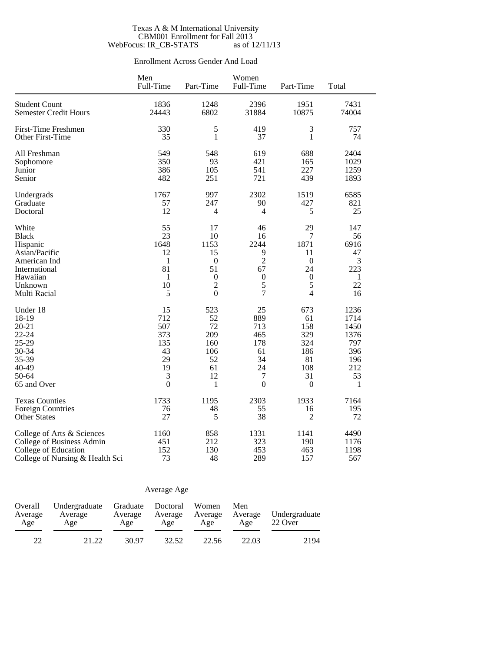### Texas A & M International University CBM001 Enrollment for Fall 2013 WebFocus: IR\_CB-STATS as of 12/11/13

## Enrollment Across Gender And Load

|                                 | Men<br>Full-Time | Part-Time        | Women<br>Full-Time | Part-Time        | Total        |
|---------------------------------|------------------|------------------|--------------------|------------------|--------------|
| <b>Student Count</b>            | 1836             | 1248             | 2396               | 1951             | 7431         |
| <b>Semester Credit Hours</b>    | 24443            | 6802             | 31884              | 10875            | 74004        |
|                                 |                  |                  |                    |                  |              |
| First-Time Freshmen             | 330              | 5                | 419                | 3                | 757          |
| Other First-Time                | 35               | 1                | 37                 | $\mathbf{1}$     | 74           |
| All Freshman                    | 549              | 548              | 619                | 688              | 2404         |
| Sophomore                       | 350              | 93               | 421                | 165              | 1029         |
| Junior                          | 386              | 105              | 541                | 227              | 1259         |
| Senior                          | 482              | 251              | 721                | 439              | 1893         |
| Undergrads                      | 1767             | 997              | 2302               | 1519             | 6585         |
| Graduate                        | 57               | 247              | 90                 | 427              | 821          |
| Doctoral                        | 12               | 4                | 4                  | 5                | 25           |
| White                           | 55               | 17               | 46                 | 29               | 147          |
| <b>Black</b>                    | 23               | 10               | 16                 | 7                | 56           |
| Hispanic                        | 1648             | 1153             | 2244               | 1871             | 6916         |
| Asian/Pacific                   | 12               | 15               | 9                  | 11               | 47           |
| American Ind                    | 1                | $\boldsymbol{0}$ | $\overline{2}$     | $\boldsymbol{0}$ | 3            |
| International                   | 81               | 51               | 67                 | 24               | 223          |
| Hawaiian                        | $\mathbf{1}$     | $\boldsymbol{0}$ | $\boldsymbol{0}$   | $\boldsymbol{0}$ | $\mathbf{1}$ |
| Unknown                         | 10               | $\overline{c}$   | 5                  | 5                | 22           |
| Multi Racial                    | 5                | $\mathbf{0}$     | $\overline{7}$     | $\overline{4}$   | 16           |
| Under 18                        | 15               | 523              | 25                 | 673              | 1236         |
| 18-19                           | 712              | 52               | 889                | 61               | 1714         |
| $20 - 21$                       | 507              | 72               | 713                | 158              | 1450         |
| 22-24                           | 373              | 209              | 465                | 329              | 1376         |
| 25-29                           | 135              | 160              | 178                | 324              | 797          |
| 30-34                           | 43               | 106              | 61                 | 186              | 396          |
| 35-39                           | 29               | 52               | 34                 | 81               | 196          |
| 40-49                           | 19               | 61               | 24                 | 108              | 212          |
| 50-64                           | 3                | 12               | $\tau$             | 31               | 53           |
| 65 and Over                     | $\boldsymbol{0}$ | 1                | $\overline{0}$     | $\boldsymbol{0}$ | $\mathbf{1}$ |
| <b>Texas Counties</b>           | 1733             | 1195             | 2303               | 1933             | 7164         |
| <b>Foreign Countries</b>        | 76               | 48               | 55                 | 16               | 195          |
| <b>Other States</b>             | 27               | 5                | 38                 | 2                | 72           |
| College of Arts & Sciences      | 1160             | 858              | 1331               | 1141             | 4490         |
| College of Business Admin       | 451              | 212              | 323                | 190              | 1176         |
| College of Education            | 152              | 130              | 453                | 463              | 1198         |
| College of Nursing & Health Sci | 73               | 48               | 289                | 157              | 567          |

## Average Age

| Overall<br>Average<br>Age | Undergraduate Graduate<br>Average<br>Age | Average<br>Age | Doctoral<br>Average<br>Age | Women<br>Average<br>Age | Men<br>Average<br>Age | Undergraduate<br>22 Over |
|---------------------------|------------------------------------------|----------------|----------------------------|-------------------------|-----------------------|--------------------------|
| $22^{\circ}$              | 21.22                                    | 30.97          | 32.52                      | 22.56                   | 22.03                 | 2194                     |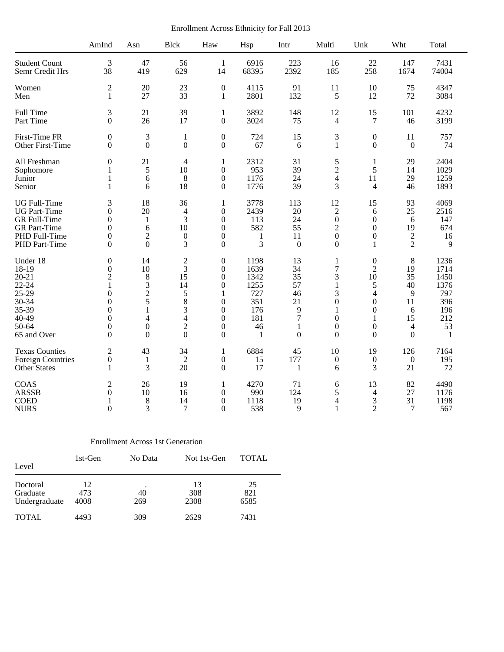Enrollment Across Ethnicity for Fall 2013

|                          | AmInd            | Asn              | <b>Blck</b>              | Haw              | Hsp   | Intr         | Multi            | Unk              | Wht              | Total        |
|--------------------------|------------------|------------------|--------------------------|------------------|-------|--------------|------------------|------------------|------------------|--------------|
| <b>Student Count</b>     | 3                | 47               | 56                       | $\mathbf{1}$     | 6916  | 223          | 16               | 22               | 147              | 7431         |
| Semr Credit Hrs          | 38               | 419              | 629                      | 14               | 68395 | 2392         | 185              | 258              | 1674             | 74004        |
| Women                    | $\mathbf{2}$     | 20               | 23                       | $\boldsymbol{0}$ | 4115  | 91           | 11               | 10               | 75               | 4347         |
| Men                      | $\mathbf{1}$     | 27               | 33                       | $\mathbf{1}$     | 2801  | 132          | 5                | 12               | 72               | 3084         |
| Full Time                | 3                | 21               | 39                       | $\mathbf{1}$     | 3892  | 148          | 12               | 15               | 101              | 4232         |
| Part Time                | $\Omega$         | 26               | 17                       | $\boldsymbol{0}$ | 3024  | 75           | 4                | 7                | 46               | 3199         |
| First-Time FR            | $\mathbf{0}$     | 3                | $\mathbf{1}$             | $\boldsymbol{0}$ | 724   | 15           | 3                | $\boldsymbol{0}$ | 11               | 757          |
| Other First-Time         | $\Omega$         | $\theta$         | $\overline{0}$           | $\boldsymbol{0}$ | 67    | 6            | $\mathbf{1}$     | $\Omega$         | $\theta$         | 74           |
| All Freshman             | $\mathbf{0}$     | 21               | $\overline{\mathcal{A}}$ | 1                | 2312  | 31           | 5                | 1                | 29               | 2404         |
| Sophomore                | 1                | 5                | 10                       | $\overline{0}$   | 953   | 39           | $\overline{2}$   | 5                | 14               | 1029         |
| Junior                   | $\mathbf{1}$     | 6                | 8                        | $\boldsymbol{0}$ | 1176  | 24           | $\overline{4}$   | 11               | 29               | 1259         |
| Senior                   | 1                | 6                | 18                       | $\overline{0}$   | 1776  | 39           | 3                | $\overline{4}$   | 46               | 1893         |
| <b>UG</b> Full-Time      | 3                | 18               | 36                       | $\mathbf{1}$     | 3778  | 113          | 12               | 15               | 93               | 4069         |
| <b>UG</b> Part-Time      | $\Omega$         | 20               | 4                        | $\overline{0}$   | 2439  | 20           | $\mathbf{2}$     | 6                | 25               | 2516         |
| GR Full-Time             | $\Omega$         | $\mathbf{1}$     | 3                        | $\overline{0}$   | 113   | 24           | $\mathbf{0}$     | $\boldsymbol{0}$ | 6                | 147          |
| <b>GR</b> Part-Time      | $\boldsymbol{0}$ | 6                | 10                       | 0                | 582   | 55           | $\overline{c}$   | $\boldsymbol{0}$ | 19               | 674          |
| PHD Full-Time            | $\mathbf{0}$     | $\overline{2}$   | $\boldsymbol{0}$         | $\overline{0}$   | 1     | 11           | $\boldsymbol{0}$ | $\overline{0}$   | $\boldsymbol{2}$ | 16           |
| PHD Part-Time            | $\Omega$         | $\Omega$         | 3                        | $\theta$         | 3     | $\mathbf{0}$ | $\theta$         | 1                | $\overline{2}$   | 9            |
| Under 18                 | $\mathbf{0}$     | 14               | $\sqrt{2}$               | $\overline{0}$   | 1198  | 13           | $\mathbf{1}$     | $\boldsymbol{0}$ | 8                | 1236         |
| 18-19                    | $\boldsymbol{0}$ | 10               | 3                        | $\overline{0}$   | 1639  | 34           | $\overline{7}$   | $\overline{2}$   | 19               | 1714         |
| $20 - 21$                | $\mathbf{2}$     | 8                | 15                       | $\overline{0}$   | 1342  | 35           | 3                | 10               | 35               | 1450         |
| $22 - 24$                | 1                | 3                | 14                       | $\theta$         | 1255  | 57           | $\mathbf{1}$     | 5                | 40               | 1376         |
| 25-29                    | $\boldsymbol{0}$ | $\overline{c}$   | 5                        | 1                | 727   | 46           | 3                | $\overline{4}$   | 9                | 797          |
| 30-34                    | $\theta$         | 5                | 8                        | $\overline{0}$   | 351   | 21           | $\overline{0}$   | $\boldsymbol{0}$ | 11               | 396          |
| 35-39                    | $\Omega$         | 1                | 3                        | $\theta$         | 176   | 9            | 1                | $\Omega$         | 6                | 196          |
| 40-49                    | $\boldsymbol{0}$ | $\overline{4}$   | $\overline{4}$           | 0                | 181   | 7            | $\boldsymbol{0}$ | 1                | 15               | 212          |
| 50-64                    | $\mathbf{0}$     | $\boldsymbol{0}$ | $\overline{2}$           | 0                | 46    | 1            | $\boldsymbol{0}$ | $\mathbf{0}$     | $\overline{4}$   | 53           |
| 65 and Over              | $\Omega$         | $\theta$         | $\overline{0}$           | $\theta$         | 1     | $\theta$     | $\Omega$         | $\Omega$         | $\Omega$         | $\mathbf{1}$ |
| <b>Texas Counties</b>    | $\mathfrak{2}$   | 43               | 34                       | 1                | 6884  | 45           | 10               | 19               | 126              | 7164         |
| <b>Foreign Countries</b> | $\boldsymbol{0}$ | 1                | $\overline{2}$           | 0                | 15    | 177          | $\boldsymbol{0}$ | $\boldsymbol{0}$ | $\boldsymbol{0}$ | 195          |
| Other States             | $\mathbf{1}$     | 3                | 20                       | $\boldsymbol{0}$ | 17    | $\mathbf{1}$ | 6                | 3                | 21               | 72           |
| COAS                     | $\overline{2}$   | 26               | 19                       | 1                | 4270  | 71           | 6                | 13               | 82               | 4490         |
| <b>ARSSB</b>             | $\boldsymbol{0}$ | 10               | 16                       | $\boldsymbol{0}$ | 990   | 124          | 5                | $\overline{4}$   | 27               | 1176         |
| <b>COED</b>              | 1                | 8                | 14                       | $\overline{0}$   | 1118  | 19           | 4                | 3                | 31               | 1198         |
| <b>NURS</b>              | $\Omega$         | 3                | $\overline{7}$           | $\theta$         | 538   | 9            | 1                | $\overline{2}$   | 7                | 567          |

## Enrollment Across 1st Generation

| Level                                 | 1st-Gen           | No Data   | Not 1st-Gen       | <b>TOTAL</b>      |  |
|---------------------------------------|-------------------|-----------|-------------------|-------------------|--|
| Doctoral<br>Graduate<br>Undergraduate | 12<br>473<br>4008 | 40<br>269 | 13<br>308<br>2308 | 25<br>821<br>6585 |  |
| <b>TOTAL</b>                          | 4493              | 309       | 2629              | 7431              |  |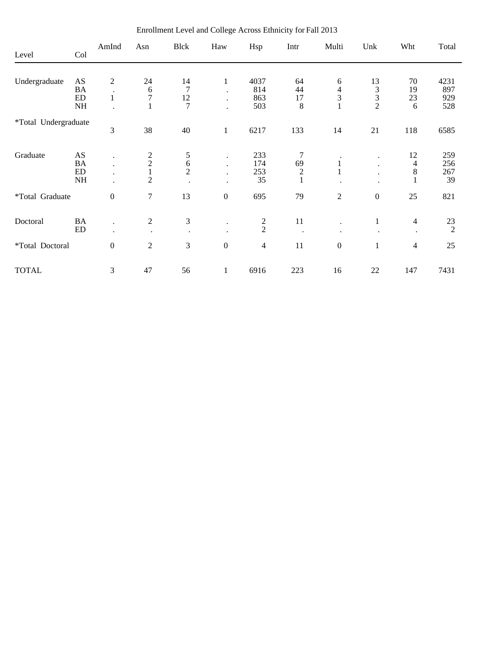| Level                | Col                                 | AmInd                                        | Asn                                                         | <b>Blck</b>                           | Haw                | Hsp                       | Intr                                                  | Multi                            | Unk                                          | Wht                           | Total                     |
|----------------------|-------------------------------------|----------------------------------------------|-------------------------------------------------------------|---------------------------------------|--------------------|---------------------------|-------------------------------------------------------|----------------------------------|----------------------------------------------|-------------------------------|---------------------------|
| Undergraduate        | AS<br><b>BA</b><br>${\rm ED}$<br>NH | $\overline{c}$<br>$\bullet$<br>$\mathbf{1}$  | 24<br>$\frac{6}{7}$<br>$\mathbf{1}$                         | 14<br>7<br>12<br>$\overline{7}$       | $\mathbf{1}$       | 4037<br>814<br>863<br>503 | 64<br>44<br>17<br>$\,8\,$                             | 6<br>$rac{4}{3}$<br>$\mathbf{1}$ | 13<br>$\frac{3}{2}$                          | 70<br>19<br>23<br>6           | 4231<br>897<br>929<br>528 |
| *Total Undergraduate |                                     | 3                                            | 38                                                          | 40                                    | $\mathbf{1}$       | 6217                      | 133                                                   | 14                               | 21                                           | 118                           | 6585                      |
| Graduate             | AS<br><b>BA</b><br>ED<br>NH         | $\ddot{\phantom{0}}$<br>$\ddot{\phantom{0}}$ | $\begin{matrix} 2 \\ 2 \\ 1 \end{matrix}$<br>$\overline{2}$ | 5<br>$\overline{6}$<br>$\overline{2}$ | $\cdot$<br>$\cdot$ | 233<br>174<br>253<br>35   | 7<br>69<br>$\begin{smallmatrix}2\\1\end{smallmatrix}$ | $\mathbf{1}$                     | $\ddot{\phantom{0}}$<br>$\ddot{\phantom{0}}$ | 12<br>$\overline{4}$<br>$8\,$ | 259<br>256<br>267<br>39   |
| *Total Graduate      |                                     | $\boldsymbol{0}$                             | $\overline{7}$                                              | 13                                    | $\boldsymbol{0}$   | 695                       | 79                                                    | $\mathbf{2}$                     | $\boldsymbol{0}$                             | 25                            | 821                       |
| Doctoral             | BA<br>ED                            |                                              | $\overline{2}$                                              | 3<br>$\bullet$                        | $\bullet$          | $\frac{2}{2}$             | 11                                                    | $\ddot{\phantom{0}}$             | $\mathbf{1}$                                 | $\overline{4}$                | 23<br>$\overline{2}$      |
| *Total Doctoral      |                                     | $\boldsymbol{0}$                             | $\overline{2}$                                              | 3                                     | $\boldsymbol{0}$   | $\overline{4}$            | 11                                                    | $\boldsymbol{0}$                 | $\mathbf{1}$                                 | $\overline{4}$                | 25                        |
| <b>TOTAL</b>         |                                     | 3                                            | 47                                                          | 56                                    | $\mathbf{1}$       | 6916                      | 223                                                   | 16                               | 22                                           | 147                           | 7431                      |

Enrollment Level and College Across Ethnicity for Fall 2013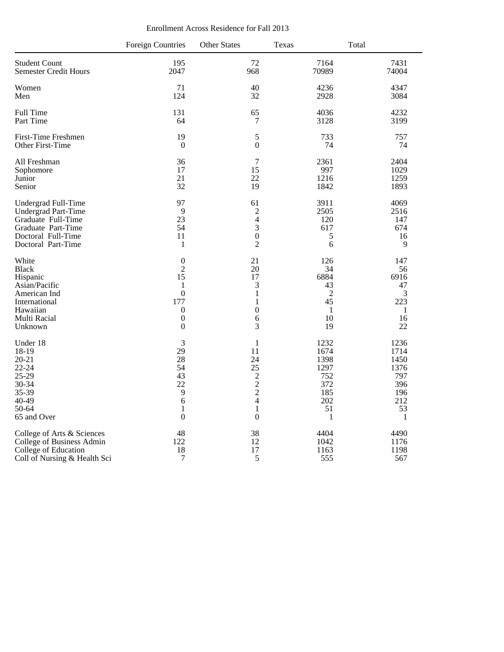|  | Enrollment Across Residence for Fall 2013 |  |
|--|-------------------------------------------|--|
|--|-------------------------------------------|--|

|                                                                                                         | <b>Foreign Countries</b>                                       | <b>Other States</b>                                                                                      | Texas                                                               | Total                                                               |
|---------------------------------------------------------------------------------------------------------|----------------------------------------------------------------|----------------------------------------------------------------------------------------------------------|---------------------------------------------------------------------|---------------------------------------------------------------------|
| <b>Student Count</b>                                                                                    | 195                                                            | 72                                                                                                       | 7164                                                                | 7431                                                                |
| <b>Semester Credit Hours</b>                                                                            | 2047                                                           | 968                                                                                                      | 70989                                                               | 74004                                                               |
| Women                                                                                                   | 71                                                             | 40                                                                                                       | 4236                                                                | 4347                                                                |
| Men                                                                                                     | 124                                                            | 32                                                                                                       | 2928                                                                | 3084                                                                |
| Full Time                                                                                               | 131                                                            | 65                                                                                                       | 4036                                                                | 4232                                                                |
| Part Time                                                                                               | 64                                                             | $\tau$                                                                                                   | 3128                                                                | 3199                                                                |
| <b>First-Time Freshmen</b>                                                                              | 19                                                             | $\sqrt{5}$                                                                                               | 733                                                                 | 757                                                                 |
| Other First-Time                                                                                        | $\overline{0}$                                                 | $\boldsymbol{0}$                                                                                         | 74                                                                  | 74                                                                  |
| All Freshman                                                                                            | 36                                                             | $\tau$                                                                                                   | 2361                                                                | 2404                                                                |
| Sophomore                                                                                               | 17                                                             | 15                                                                                                       | 997                                                                 | 1029                                                                |
| Junior                                                                                                  | 21                                                             | 22                                                                                                       | 1216                                                                | 1259                                                                |
| Senior                                                                                                  | 32                                                             | 19                                                                                                       | 1842                                                                | 1893                                                                |
| Undergrad Full-Time                                                                                     | 97                                                             | 61                                                                                                       | 3911                                                                | 4069                                                                |
| <b>Undergrad Part-Time</b>                                                                              | 9                                                              | $\overline{c}$                                                                                           | 2505                                                                | 2516                                                                |
| Graduate Full-Time                                                                                      | 23                                                             | $\overline{4}$                                                                                           | 120                                                                 | 147                                                                 |
| Graduate Part-Time                                                                                      | 54                                                             | 3                                                                                                        | 617                                                                 | 674                                                                 |
| Doctoral Full-Time                                                                                      | 11                                                             | $\boldsymbol{0}$                                                                                         | 5                                                                   | 16                                                                  |
| Doctoral Part-Time                                                                                      | $\mathbf{1}$                                                   | $\overline{2}$                                                                                           | 6                                                                   | 9                                                                   |
| White                                                                                                   | $\boldsymbol{0}$                                               | 21                                                                                                       | 126                                                                 | 147                                                                 |
| <b>Black</b>                                                                                            | $\overline{c}$                                                 | 20                                                                                                       | 34                                                                  | 56                                                                  |
| Hispanic                                                                                                | 15                                                             | 17                                                                                                       | 6884                                                                | 6916                                                                |
| Asian/Pacific                                                                                           | 1                                                              | 3                                                                                                        | 43                                                                  | 47                                                                  |
| American Ind                                                                                            | $\overline{0}$                                                 | $\mathbf{1}$                                                                                             | $\sqrt{2}$                                                          | 3                                                                   |
| International                                                                                           | 177                                                            | $\mathbf{1}$                                                                                             | 45                                                                  | 223                                                                 |
| Hawaiian                                                                                                | $\boldsymbol{0}$                                               | $\boldsymbol{0}$                                                                                         | 1                                                                   | 1                                                                   |
| Multi Racial                                                                                            | $\boldsymbol{0}$                                               | 6                                                                                                        | 10                                                                  | 16                                                                  |
| Unknown                                                                                                 | $\mathbf{0}$                                                   | 3                                                                                                        | 19                                                                  | 22                                                                  |
| Under 18<br>18-19<br>$20 - 21$<br>$22 - 24$<br>25-29<br>30-34<br>35-39<br>40-49<br>50-64<br>65 and Over | 3<br>29<br>28<br>54<br>43<br>22<br>9<br>6<br>1<br>$\mathbf{0}$ | 1<br>11<br>24<br>25<br>$\begin{array}{c} 2 \\ 2 \\ 2 \\ 4 \end{array}$<br>$\mathbf{1}$<br>$\overline{0}$ | 1232<br>1674<br>1398<br>1297<br>752<br>372<br>185<br>202<br>51<br>1 | 1236<br>1714<br>1450<br>1376<br>797<br>396<br>196<br>212<br>53<br>1 |
| College of Arts & Sciences                                                                              | 48                                                             | 38                                                                                                       | 4404                                                                | 4490                                                                |
| College of Business Admin                                                                               | 122                                                            | 12                                                                                                       | 1042                                                                | 1176                                                                |
| College of Education                                                                                    | 18                                                             | 17                                                                                                       | 1163                                                                | 1198                                                                |
| Coll of Nursing & Health Sci                                                                            | 7                                                              | 5                                                                                                        | 555                                                                 | 567                                                                 |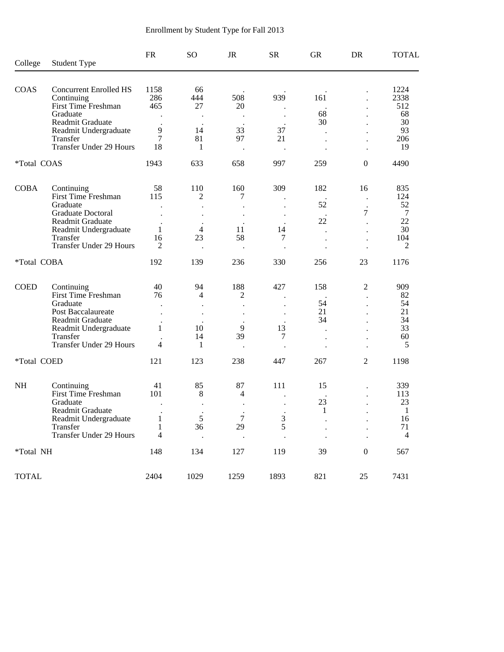| College      | <b>Student Type</b>                          | <b>FR</b>      | SO <sub>1</sub>              | JR               | <b>SR</b>   | <b>GR</b>            | <b>DR</b>            | <b>TOTAL</b>         |
|--------------|----------------------------------------------|----------------|------------------------------|------------------|-------------|----------------------|----------------------|----------------------|
| COAS         | <b>Concurrent Enrolled HS</b>                | 1158           | 66                           |                  |             |                      |                      | 1224                 |
|              | Continuing                                   | 286            | 444                          | 508              | 939         | 161                  |                      | 2338                 |
|              | First Time Freshman                          | 465            | 27                           | 20               |             |                      |                      | 512                  |
|              | Graduate                                     |                |                              |                  |             | 68                   |                      | 68                   |
|              | Readmit Graduate<br>Readmit Undergraduate    | $\overline{9}$ | 14                           | 33               | 37          | 30                   |                      | 30<br>93             |
|              | Transfer                                     | 7              | 81                           | 97               | 21          |                      |                      | 206                  |
|              | Transfer Under 29 Hours                      | 18             | 1                            |                  |             |                      |                      | 19                   |
| *Total COAS  |                                              | 1943           | 633                          | 658              | 997         | 259                  | $\boldsymbol{0}$     | 4490                 |
| <b>COBA</b>  | Continuing                                   | 58             | 110                          | 160              | 309         | 182                  | 16                   | 835                  |
|              | <b>First Time Freshman</b>                   | 115            | 2                            | 7                |             |                      |                      | 124                  |
|              | Graduate                                     |                |                              |                  |             | 52                   |                      | 52                   |
|              | <b>Graduate Doctoral</b><br>Readmit Graduate |                |                              |                  |             | 22                   | 7                    | $\overline{7}$<br>22 |
|              | Readmit Undergraduate                        | $\mathbf{1}$   | $\overline{4}$               | 11               | 14          | $\ddot{\phantom{a}}$ | $\ddot{\phantom{0}}$ | 30                   |
|              | Transfer                                     | 16             | 23                           | 58               | 7           |                      | $\ddot{\phantom{0}}$ | 104                  |
|              | Transfer Under 29 Hours                      | 2              |                              |                  |             |                      |                      | $\overline{2}$       |
| *Total COBA  |                                              | 192            | 139                          | 236              | 330         | 256                  | 23                   | 1176                 |
| <b>COED</b>  | Continuing                                   | 40             | 94                           | 188              | 427         | 158                  | 2                    | 909                  |
|              | First Time Freshman                          | 76             | 4                            | 2                |             |                      |                      | 82                   |
|              | Graduate                                     |                |                              |                  |             | 54                   | $\ddot{\phantom{a}}$ | 54                   |
|              | Post Baccalaureate                           |                |                              |                  |             | 21<br>34             |                      | 21<br>34             |
|              | Readmit Graduate<br>Readmit Undergraduate    | 1              | 10                           | 9                | 13          |                      |                      | 33                   |
|              | Transfer                                     |                | 14                           | 39               | 7           |                      | $\cdot$              | 60                   |
|              | Transfer Under 29 Hours                      | 4              | 1                            |                  |             |                      |                      | 5                    |
| *Total COED  |                                              | 121            | 123                          | 238              | 447         | 267                  | 2                    | 1198                 |
| NH           | Continuing                                   | 41             | 85                           | 87               | 111         | 15                   |                      | 339                  |
|              | First Time Freshman                          | 101            | 8                            | 4                |             |                      |                      | 113                  |
|              | Graduate                                     |                | $\bullet$                    |                  |             | 23                   |                      | 23                   |
|              | Readmit Graduate<br>Readmit Undergraduate    | 1              | $\blacksquare$<br>$\sqrt{5}$ | $\,$ .<br>$\tau$ |             | $\mathbf{1}$         |                      | $\mathbf{1}$<br>16   |
|              | Transfer                                     |                | 36                           | 29               | $rac{3}{5}$ |                      |                      | 71                   |
|              | <b>Transfer Under 29 Hours</b>               | 4              |                              |                  |             |                      |                      | 4                    |
| *Total NH    |                                              | 148            | 134                          | 127              | 119         | 39                   | $\boldsymbol{0}$     | 567                  |
| <b>TOTAL</b> |                                              | 2404           | 1029                         | 1259             | 1893        | 821                  | 25                   | 7431                 |

# Enrollment by Student Type for Fall 2013